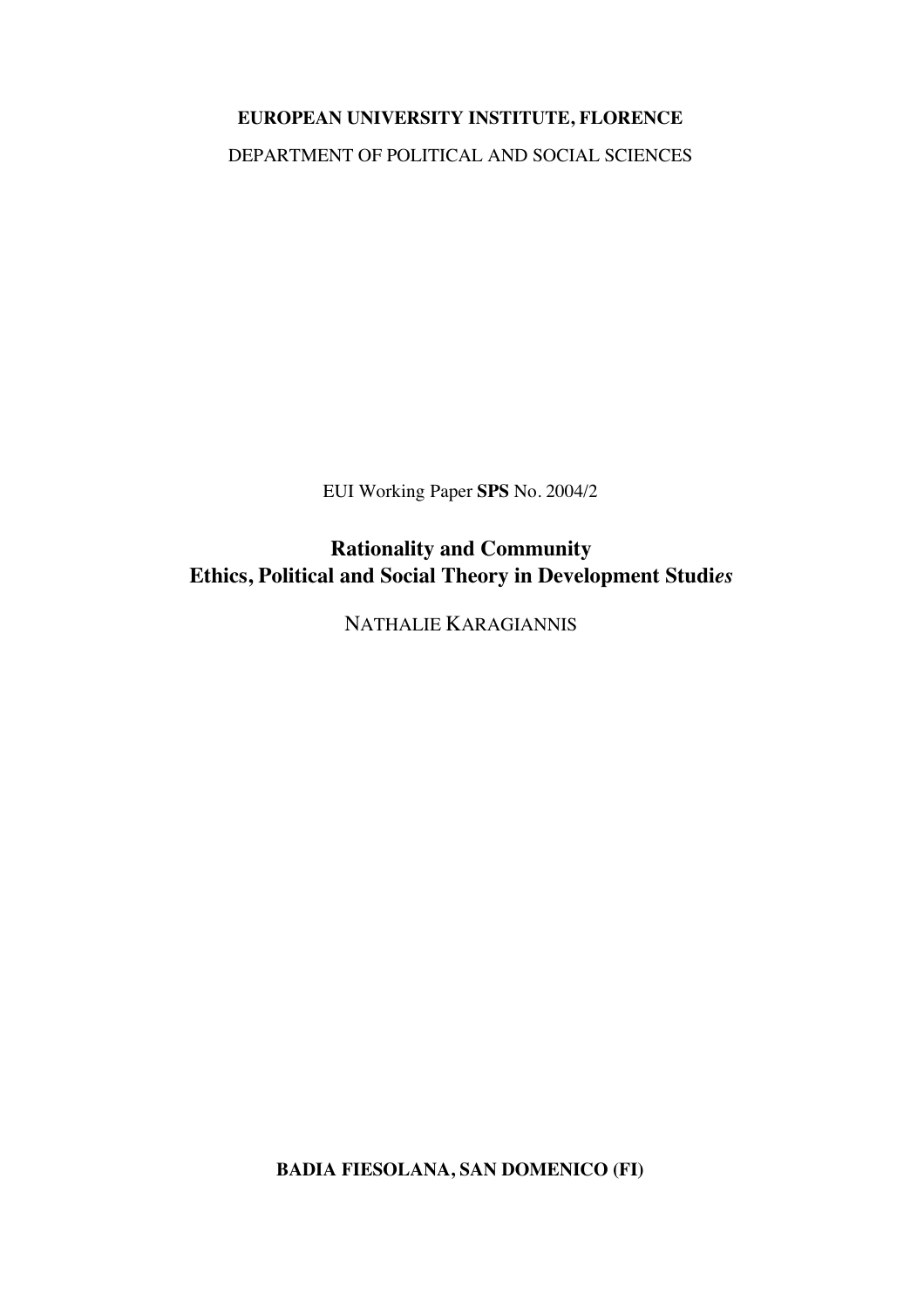# **EUROPEAN UNIVERSITY INSTITUTE, FLORENCE**

DEPARTMENT OF POLITICAL AND SOCIAL SCIENCES

EUI Working Paper **SPS** No. 2004/2

**Rationality and Community Ethics, Political and Social Theory in Development Studi***es*

NATHALIE KARAGIANNIS

**BADIA FIESOLANA, SAN DOMENICO (FI)**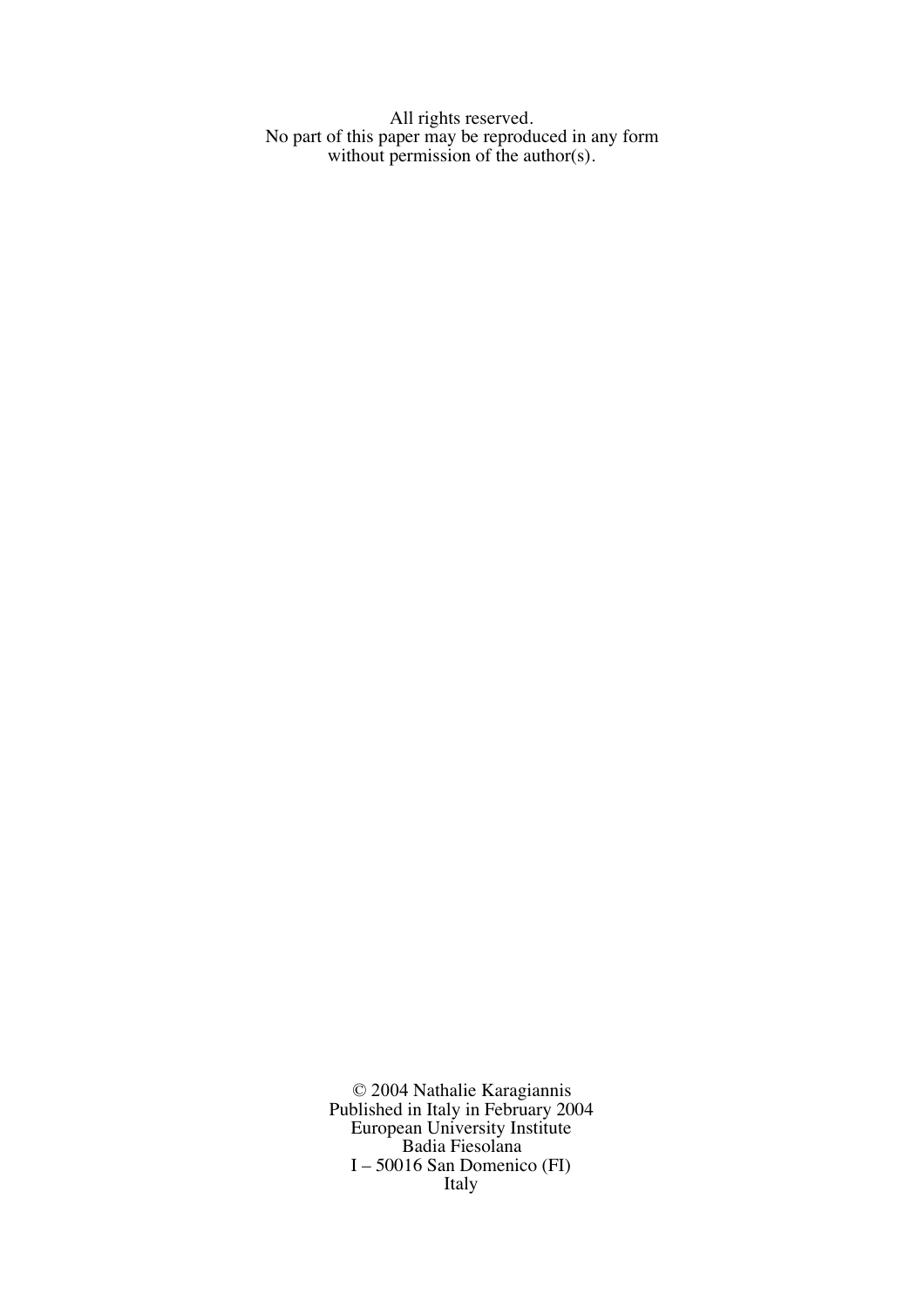All rights reserved. No part of this paper may be reproduced in any form without permission of the author(s).

> © 2004 Nathalie Karagiannis Published in Italy in February 2004 European University Institute Badia Fiesolana I – 50016 San Domenico (FI) Italy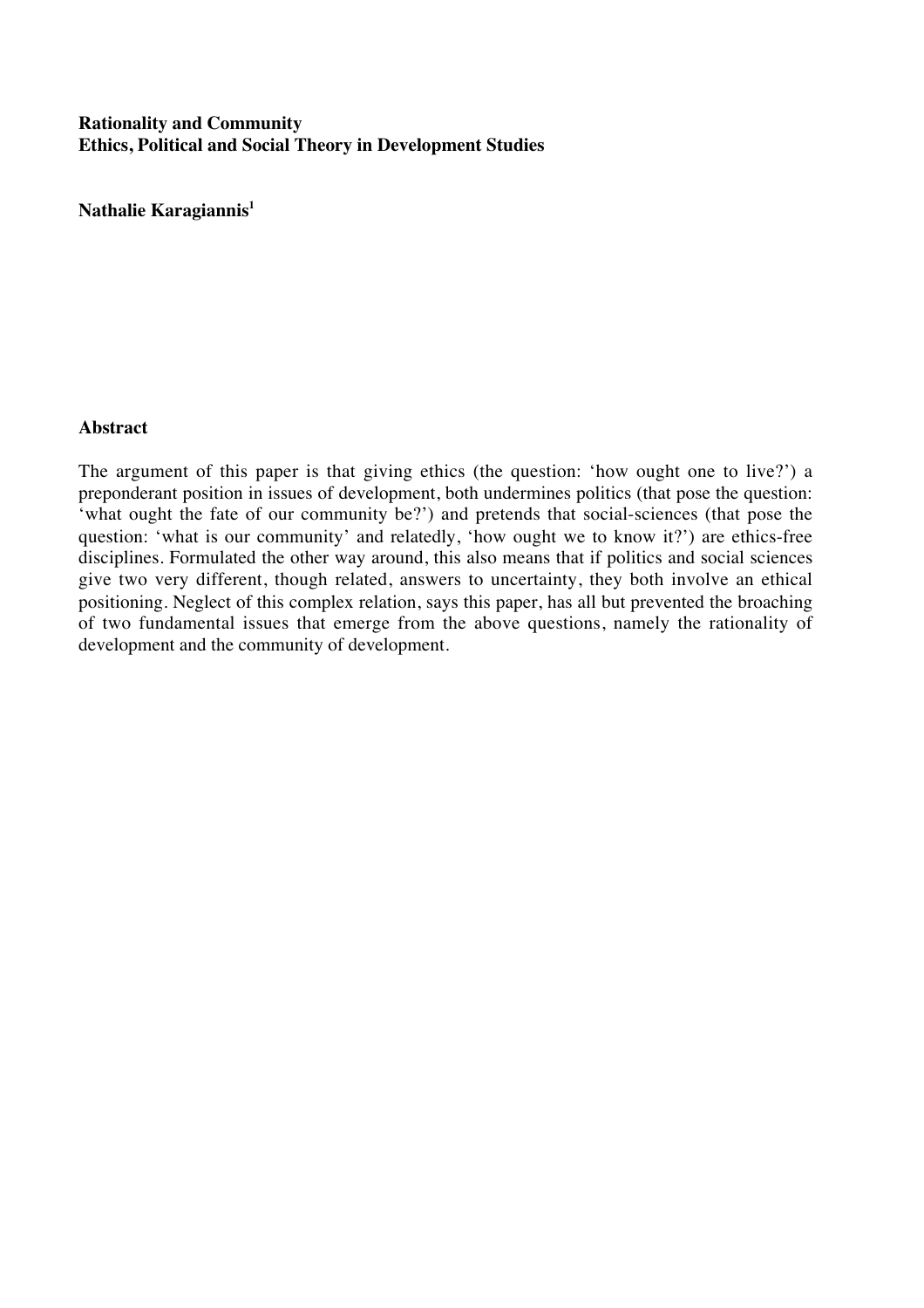## **Rationality and Community Ethics, Political and Social Theory in Development Studies**

**Nathalie Karagiannis1**

## **Abstract**

The argument of this paper is that giving ethics (the question: 'how ought one to live?') a preponderant position in issues of development, both undermines politics (that pose the question: 'what ought the fate of our community be?') and pretends that social-sciences (that pose the question: 'what is our community' and relatedly, 'how ought we to know it?') are ethics-free disciplines. Formulated the other way around, this also means that if politics and social sciences give two very different, though related, answers to uncertainty, they both involve an ethical positioning. Neglect of this complex relation, says this paper, has all but prevented the broaching of two fundamental issues that emerge from the above questions, namely the rationality of development and the community of development.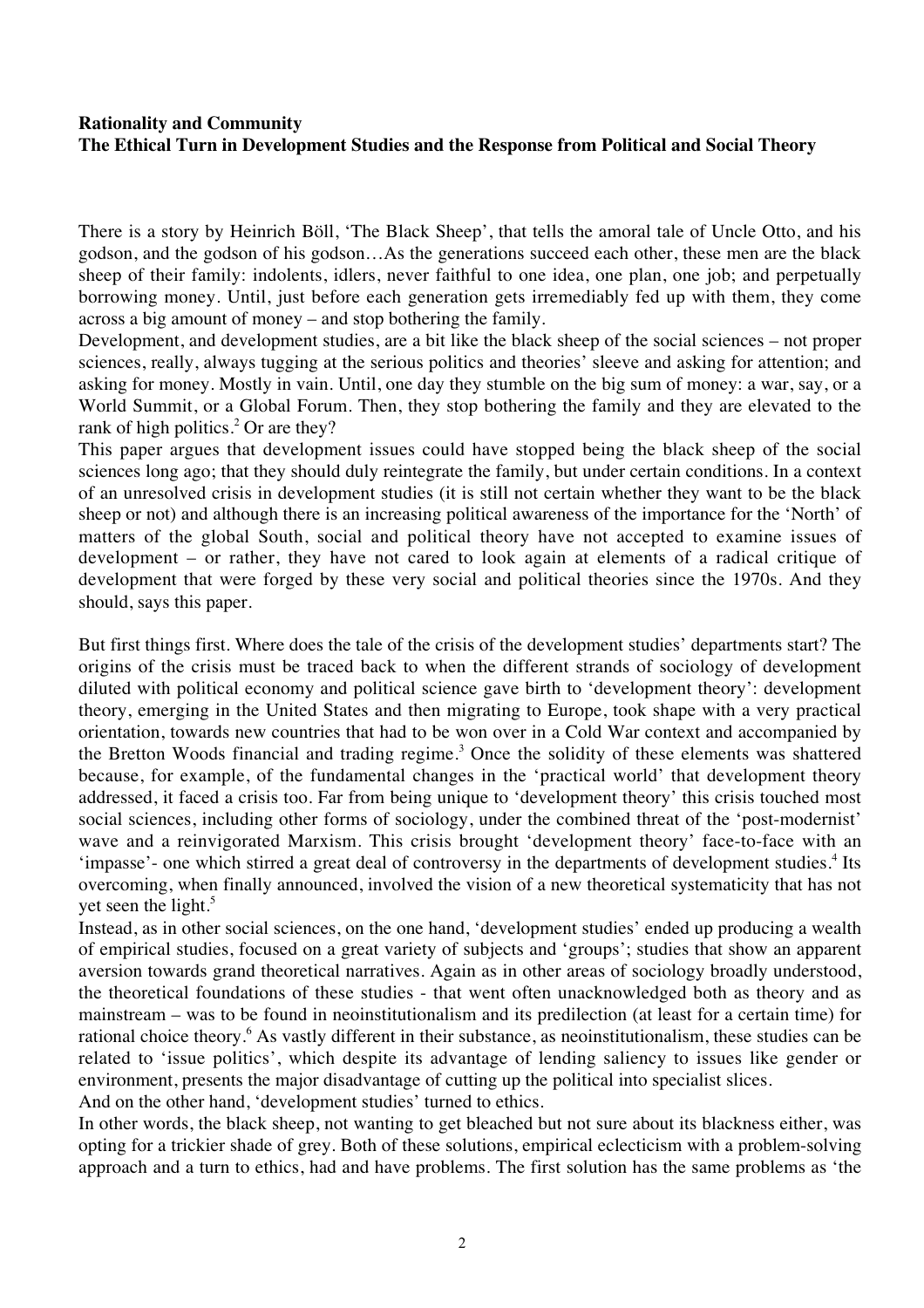## **Rationality and Community The Ethical Turn in Development Studies and the Response from Political and Social Theory**

There is a story by Heinrich Böll, 'The Black Sheep', that tells the amoral tale of Uncle Otto, and his godson, and the godson of his godson…As the generations succeed each other, these men are the black sheep of their family: indolents, idlers, never faithful to one idea, one plan, one job; and perpetually borrowing money. Until, just before each generation gets irremediably fed up with them, they come across a big amount of money – and stop bothering the family.

Development, and development studies, are a bit like the black sheep of the social sciences – not proper sciences, really, always tugging at the serious politics and theories' sleeve and asking for attention; and asking for money. Mostly in vain. Until, one day they stumble on the big sum of money: a war, say, or a World Summit, or a Global Forum. Then, they stop bothering the family and they are elevated to the rank of high politics.<sup>2</sup> Or are they?

This paper argues that development issues could have stopped being the black sheep of the social sciences long ago; that they should duly reintegrate the family, but under certain conditions. In a context of an unresolved crisis in development studies (it is still not certain whether they want to be the black sheep or not) and although there is an increasing political awareness of the importance for the 'North' of matters of the global South, social and political theory have not accepted to examine issues of development – or rather, they have not cared to look again at elements of a radical critique of development that were forged by these very social and political theories since the 1970s. And they should, says this paper.

But first things first. Where does the tale of the crisis of the development studies' departments start? The origins of the crisis must be traced back to when the different strands of sociology of development diluted with political economy and political science gave birth to 'development theory': development theory, emerging in the United States and then migrating to Europe, took shape with a very practical orientation, towards new countries that had to be won over in a Cold War context and accompanied by the Bretton Woods financial and trading regime.<sup>3</sup> Once the solidity of these elements was shattered because, for example, of the fundamental changes in the 'practical world' that development theory addressed, it faced a crisis too. Far from being unique to 'development theory' this crisis touched most social sciences, including other forms of sociology, under the combined threat of the 'post-modernist' wave and a reinvigorated Marxism. This crisis brought 'development theory' face-to-face with an 'impasse'- one which stirred a great deal of controversy in the departments of development studies.<sup>4</sup> Its overcoming, when finally announced, involved the vision of a new theoretical systematicity that has not yet seen the light.<sup>5</sup>

Instead, as in other social sciences, on the one hand, 'development studies' ended up producing a wealth of empirical studies, focused on a great variety of subjects and 'groups'; studies that show an apparent aversion towards grand theoretical narratives. Again as in other areas of sociology broadly understood, the theoretical foundations of these studies - that went often unacknowledged both as theory and as mainstream – was to be found in neoinstitutionalism and its predilection (at least for a certain time) for rational choice theory.6 As vastly different in their substance, as neoinstitutionalism, these studies can be related to 'issue politics', which despite its advantage of lending saliency to issues like gender or environment, presents the major disadvantage of cutting up the political into specialist slices. And on the other hand, 'development studies' turned to ethics.

In other words, the black sheep, not wanting to get bleached but not sure about its blackness either, was opting for a trickier shade of grey. Both of these solutions, empirical eclecticism with a problem-solving approach and a turn to ethics, had and have problems. The first solution has the same problems as 'the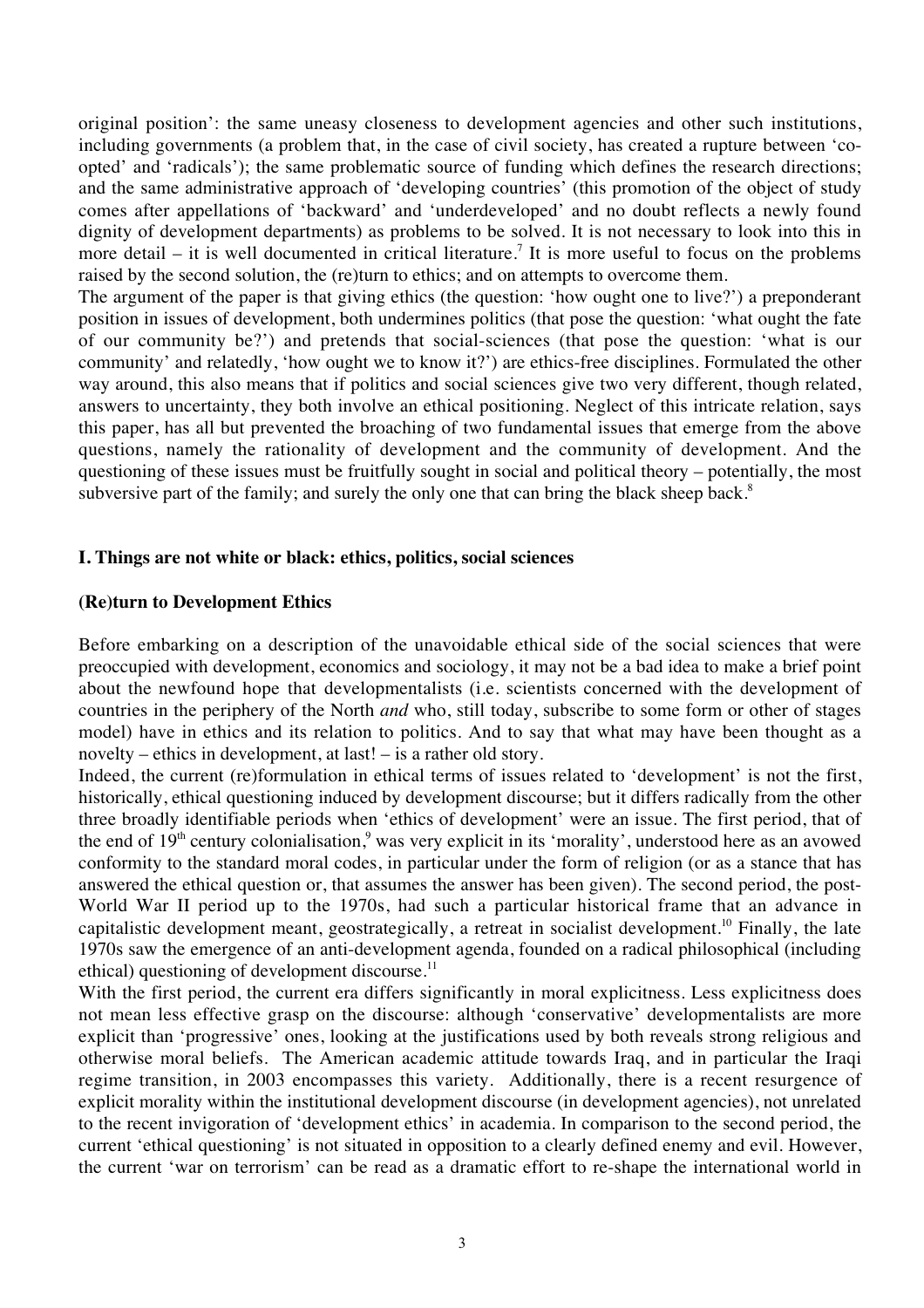original position': the same uneasy closeness to development agencies and other such institutions, including governments (a problem that, in the case of civil society, has created a rupture between 'coopted' and 'radicals'); the same problematic source of funding which defines the research directions; and the same administrative approach of 'developing countries' (this promotion of the object of study comes after appellations of 'backward' and 'underdeveloped' and no doubt reflects a newly found dignity of development departments) as problems to be solved. It is not necessary to look into this in more detail – it is well documented in critical literature.<sup>7</sup> It is more useful to focus on the problems raised by the second solution, the (re)turn to ethics; and on attempts to overcome them.

The argument of the paper is that giving ethics (the question: 'how ought one to live?') a preponderant position in issues of development, both undermines politics (that pose the question: 'what ought the fate of our community be?') and pretends that social-sciences (that pose the question: 'what is our community' and relatedly, 'how ought we to know it?') are ethics-free disciplines. Formulated the other way around, this also means that if politics and social sciences give two very different, though related, answers to uncertainty, they both involve an ethical positioning. Neglect of this intricate relation, says this paper, has all but prevented the broaching of two fundamental issues that emerge from the above questions, namely the rationality of development and the community of development. And the questioning of these issues must be fruitfully sought in social and political theory – potentially, the most subversive part of the family; and surely the only one that can bring the black sheep back.<sup>8</sup>

## **I. Things are not white or black: ethics, politics, social sciences**

## **(Re)turn to Development Ethics**

Before embarking on a description of the unavoidable ethical side of the social sciences that were preoccupied with development, economics and sociology, it may not be a bad idea to make a brief point about the newfound hope that developmentalists (i.e. scientists concerned with the development of countries in the periphery of the North *and* who, still today, subscribe to some form or other of stages model) have in ethics and its relation to politics. And to say that what may have been thought as a novelty – ethics in development, at last! – is a rather old story.

Indeed, the current (re)formulation in ethical terms of issues related to 'development' is not the first, historically, ethical questioning induced by development discourse; but it differs radically from the other three broadly identifiable periods when 'ethics of development' were an issue. The first period, that of the end of 19<sup>th</sup> century colonialisation,<sup>9</sup> was very explicit in its 'morality', understood here as an avowed conformity to the standard moral codes, in particular under the form of religion (or as a stance that has answered the ethical question or, that assumes the answer has been given). The second period, the post-World War II period up to the 1970s, had such a particular historical frame that an advance in capitalistic development meant, geostrategically, a retreat in socialist development.10 Finally, the late 1970s saw the emergence of an anti-development agenda, founded on a radical philosophical (including ethical) questioning of development discourse. $^{11}$ 

With the first period, the current era differs significantly in moral explicitness. Less explicitness does not mean less effective grasp on the discourse: although 'conservative' developmentalists are more explicit than 'progressive' ones, looking at the justifications used by both reveals strong religious and otherwise moral beliefs. The American academic attitude towards Iraq, and in particular the Iraqi regime transition, in 2003 encompasses this variety. Additionally, there is a recent resurgence of explicit morality within the institutional development discourse (in development agencies), not unrelated to the recent invigoration of 'development ethics' in academia. In comparison to the second period, the current 'ethical questioning' is not situated in opposition to a clearly defined enemy and evil. However, the current 'war on terrorism' can be read as a dramatic effort to re-shape the international world in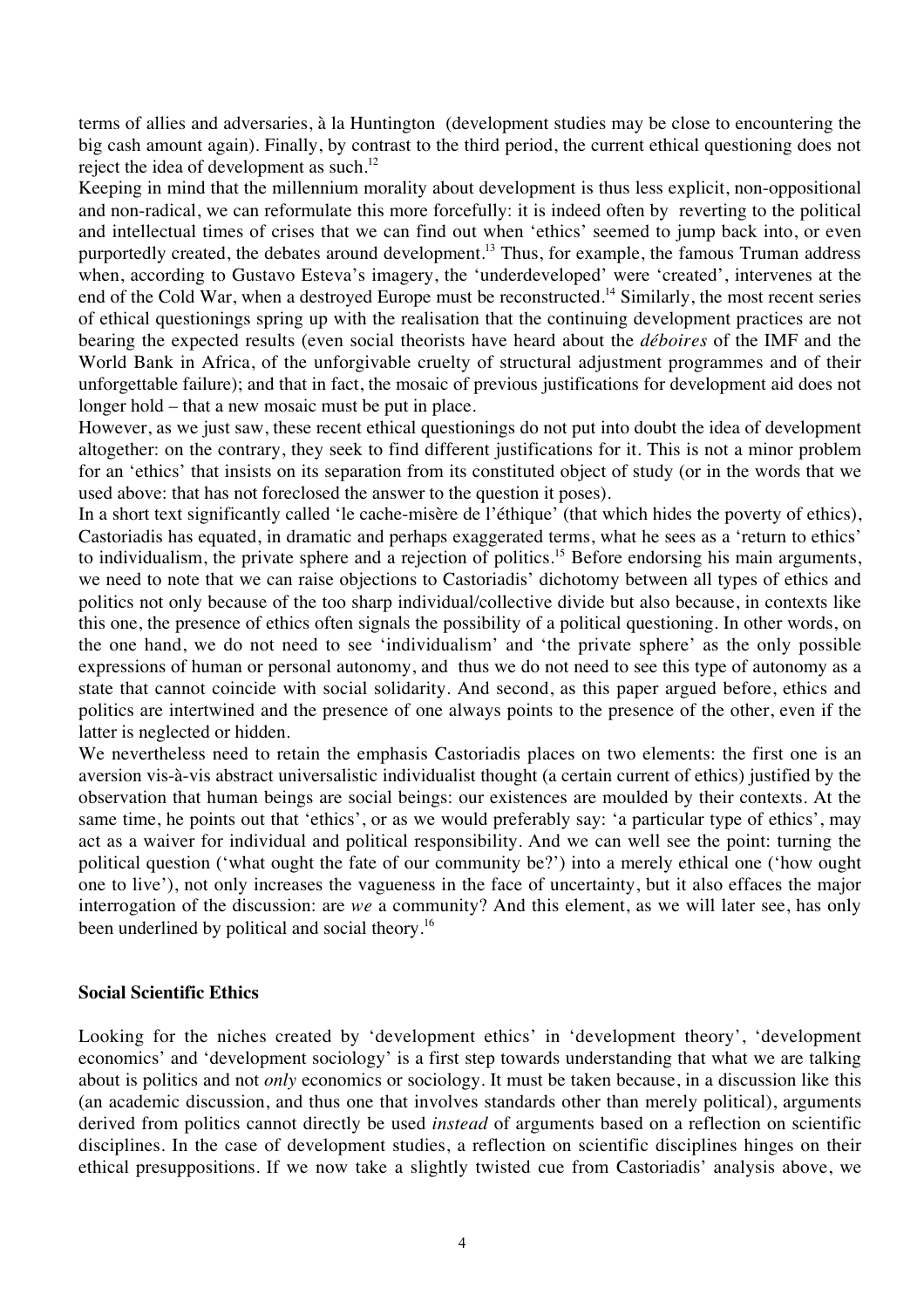terms of allies and adversaries, à la Huntington (development studies may be close to encountering the big cash amount again). Finally, by contrast to the third period, the current ethical questioning does not reject the idea of development as such.<sup>12</sup>

Keeping in mind that the millennium morality about development is thus less explicit, non-oppositional and non-radical, we can reformulate this more forcefully: it is indeed often by reverting to the political and intellectual times of crises that we can find out when 'ethics' seemed to jump back into, or even purportedly created, the debates around development.<sup>13</sup> Thus, for example, the famous Truman address when, according to Gustavo Esteva's imagery, the 'underdeveloped' were 'created', intervenes at the end of the Cold War, when a destroyed Europe must be reconstructed.<sup>14</sup> Similarly, the most recent series of ethical questionings spring up with the realisation that the continuing development practices are not bearing the expected results (even social theorists have heard about the *déboires* of the IMF and the World Bank in Africa, of the unforgivable cruelty of structural adjustment programmes and of their unforgettable failure); and that in fact, the mosaic of previous justifications for development aid does not longer hold – that a new mosaic must be put in place.

However, as we just saw, these recent ethical questionings do not put into doubt the idea of development altogether: on the contrary, they seek to find different justifications for it. This is not a minor problem for an 'ethics' that insists on its separation from its constituted object of study (or in the words that we used above: that has not foreclosed the answer to the question it poses).

In a short text significantly called 'le cache-misère de l'éthique' (that which hides the poverty of ethics), Castoriadis has equated, in dramatic and perhaps exaggerated terms, what he sees as a 'return to ethics' to individualism, the private sphere and a rejection of politics.<sup>15</sup> Before endorsing his main arguments, we need to note that we can raise objections to Castoriadis' dichotomy between all types of ethics and politics not only because of the too sharp individual/collective divide but also because, in contexts like this one, the presence of ethics often signals the possibility of a political questioning. In other words, on the one hand, we do not need to see 'individualism' and 'the private sphere' as the only possible expressions of human or personal autonomy, and thus we do not need to see this type of autonomy as a state that cannot coincide with social solidarity. And second, as this paper argued before, ethics and politics are intertwined and the presence of one always points to the presence of the other, even if the latter is neglected or hidden.

We nevertheless need to retain the emphasis Castoriadis places on two elements: the first one is an aversion vis-à-vis abstract universalistic individualist thought (a certain current of ethics) justified by the observation that human beings are social beings: our existences are moulded by their contexts. At the same time, he points out that 'ethics', or as we would preferably say: 'a particular type of ethics', may act as a waiver for individual and political responsibility. And we can well see the point: turning the political question ('what ought the fate of our community be?') into a merely ethical one ('how ought one to live'), not only increases the vagueness in the face of uncertainty, but it also effaces the major interrogation of the discussion: are *we* a community? And this element, as we will later see, has only been underlined by political and social theory.<sup>16</sup>

#### **Social Scientific Ethics**

Looking for the niches created by 'development ethics' in 'development theory', 'development economics' and 'development sociology' is a first step towards understanding that what we are talking about is politics and not *only* economics or sociology. It must be taken because, in a discussion like this (an academic discussion, and thus one that involves standards other than merely political), arguments derived from politics cannot directly be used *instead* of arguments based on a reflection on scientific disciplines. In the case of development studies, a reflection on scientific disciplines hinges on their ethical presuppositions. If we now take a slightly twisted cue from Castoriadis' analysis above, we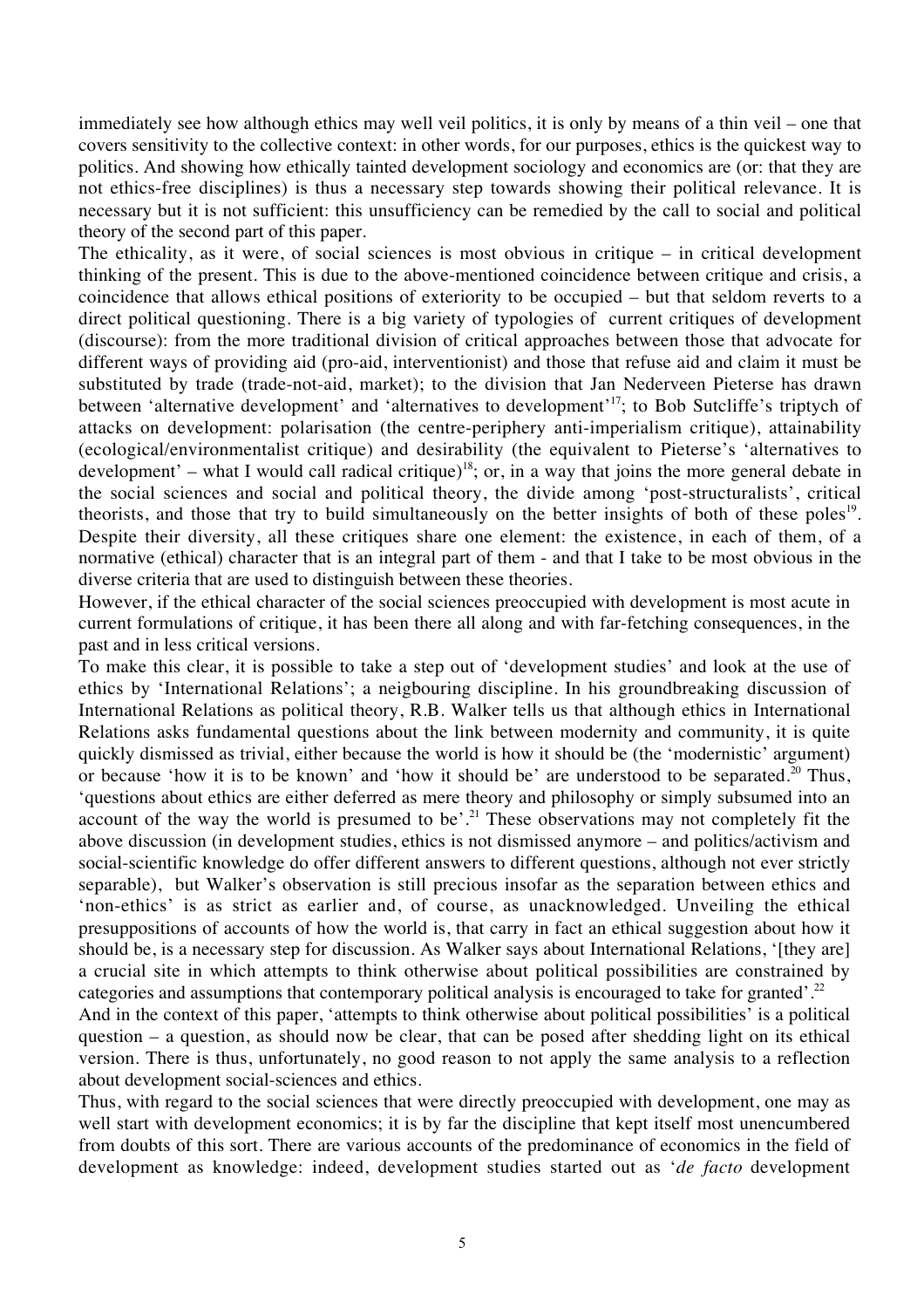immediately see how although ethics may well veil politics, it is only by means of a thin veil – one that covers sensitivity to the collective context: in other words, for our purposes, ethics is the quickest way to politics. And showing how ethically tainted development sociology and economics are (or: that they are not ethics-free disciplines) is thus a necessary step towards showing their political relevance. It is necessary but it is not sufficient: this unsufficiency can be remedied by the call to social and political theory of the second part of this paper.

The ethicality, as it were, of social sciences is most obvious in critique – in critical development thinking of the present. This is due to the above-mentioned coincidence between critique and crisis, a coincidence that allows ethical positions of exteriority to be occupied – but that seldom reverts to a direct political questioning. There is a big variety of typologies of current critiques of development (discourse): from the more traditional division of critical approaches between those that advocate for different ways of providing aid (pro-aid, interventionist) and those that refuse aid and claim it must be substituted by trade (trade-not-aid, market); to the division that Jan Nederveen Pieterse has drawn between 'alternative development' and 'alternatives to development'<sup>17</sup>; to Bob Sutcliffe's triptych of attacks on development: polarisation (the centre-periphery anti-imperialism critique), attainability (ecological/environmentalist critique) and desirability (the equivalent to Pieterse's 'alternatives to development' – what I would call radical critique)<sup>18</sup>; or, in a way that joins the more general debate in the social sciences and social and political theory, the divide among 'post-structuralists', critical theorists, and those that try to build simultaneously on the better insights of both of these poles<sup>19</sup>. Despite their diversity, all these critiques share one element: the existence, in each of them, of a normative (ethical) character that is an integral part of them - and that I take to be most obvious in the diverse criteria that are used to distinguish between these theories.

However, if the ethical character of the social sciences preoccupied with development is most acute in current formulations of critique, it has been there all along and with far-fetching consequences, in the past and in less critical versions.

To make this clear, it is possible to take a step out of 'development studies' and look at the use of ethics by 'International Relations'; a neigbouring discipline. In his groundbreaking discussion of International Relations as political theory, R.B. Walker tells us that although ethics in International Relations asks fundamental questions about the link between modernity and community, it is quite quickly dismissed as trivial, either because the world is how it should be (the 'modernistic' argument) or because 'how it is to be known' and 'how it should be' are understood to be separated.<sup>20</sup> Thus, 'questions about ethics are either deferred as mere theory and philosophy or simply subsumed into an account of the way the world is presumed to be'.<sup>21</sup> These observations may not completely fit the above discussion (in development studies, ethics is not dismissed anymore – and politics/activism and social-scientific knowledge do offer different answers to different questions, although not ever strictly separable), but Walker's observation is still precious insofar as the separation between ethics and 'non-ethics' is as strict as earlier and, of course, as unacknowledged. Unveiling the ethical presuppositions of accounts of how the world is, that carry in fact an ethical suggestion about how it should be, is a necessary step for discussion. As Walker says about International Relations, '[they are] a crucial site in which attempts to think otherwise about political possibilities are constrained by categories and assumptions that contemporary political analysis is encouraged to take for granted'.<sup>22</sup>

And in the context of this paper, 'attempts to think otherwise about political possibilities' is a political question – a question, as should now be clear, that can be posed after shedding light on its ethical version. There is thus, unfortunately, no good reason to not apply the same analysis to a reflection about development social-sciences and ethics.

Thus, with regard to the social sciences that were directly preoccupied with development, one may as well start with development economics; it is by far the discipline that kept itself most unencumbered from doubts of this sort. There are various accounts of the predominance of economics in the field of development as knowledge: indeed, development studies started out as '*de facto* development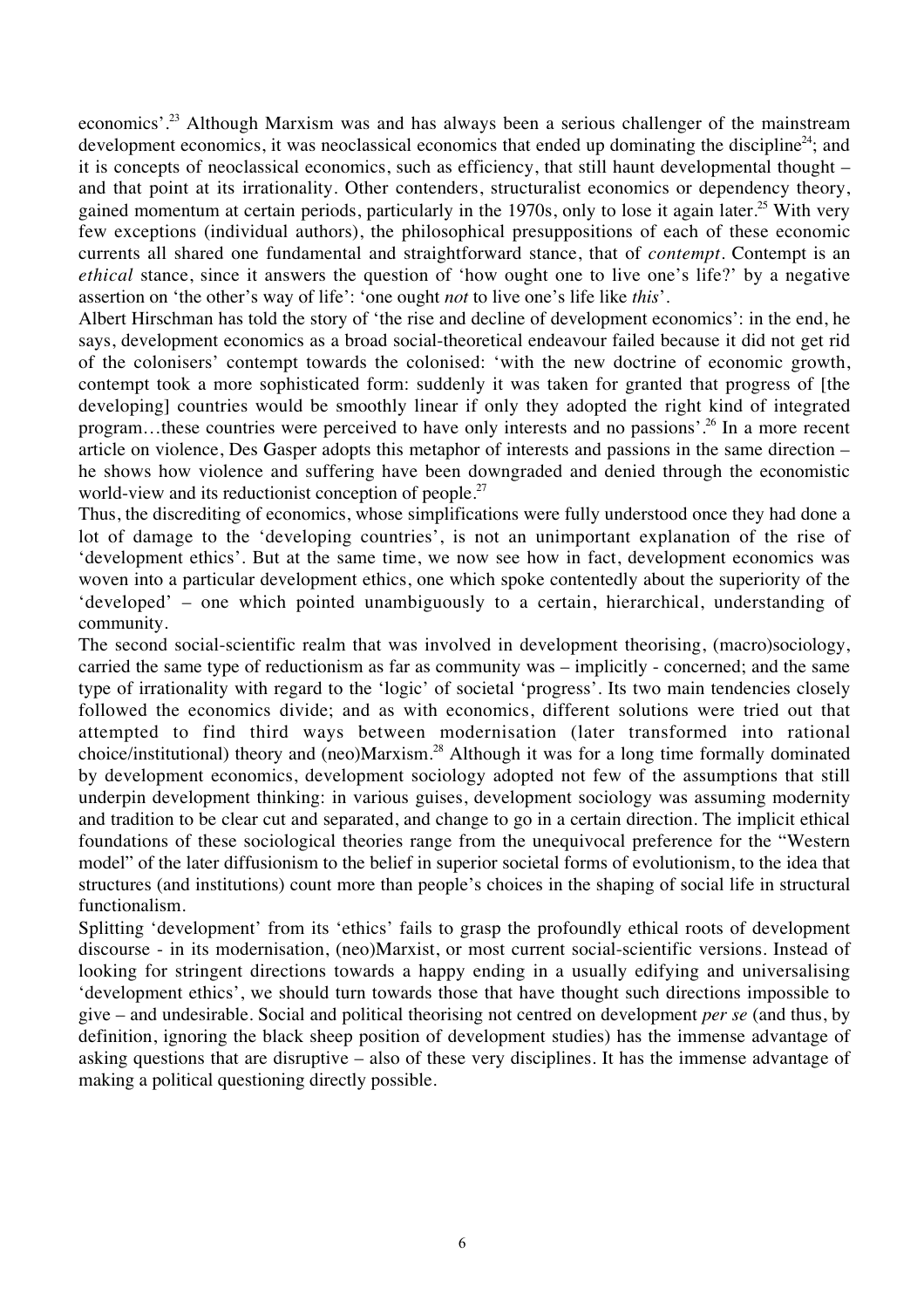economics'.23 Although Marxism was and has always been a serious challenger of the mainstream development economics, it was neoclassical economics that ended up dominating the discipline<sup>24</sup>; and it is concepts of neoclassical economics, such as efficiency, that still haunt developmental thought – and that point at its irrationality. Other contenders, structuralist economics or dependency theory, gained momentum at certain periods, particularly in the 1970s, only to lose it again later.<sup>25</sup> With very few exceptions (individual authors), the philosophical presuppositions of each of these economic currents all shared one fundamental and straightforward stance, that of *contempt*. Contempt is an *ethical* stance, since it answers the question of 'how ought one to live one's life?' by a negative assertion on 'the other's way of life': 'one ought *not* to live one's life like *this*'.

Albert Hirschman has told the story of 'the rise and decline of development economics': in the end, he says, development economics as a broad social-theoretical endeavour failed because it did not get rid of the colonisers' contempt towards the colonised: 'with the new doctrine of economic growth, contempt took a more sophisticated form: suddenly it was taken for granted that progress of [the developing] countries would be smoothly linear if only they adopted the right kind of integrated program…these countries were perceived to have only interests and no passions'.26 In a more recent article on violence, Des Gasper adopts this metaphor of interests and passions in the same direction – he shows how violence and suffering have been downgraded and denied through the economistic world-view and its reductionist conception of people.<sup>27</sup>

Thus, the discrediting of economics, whose simplifications were fully understood once they had done a lot of damage to the 'developing countries', is not an unimportant explanation of the rise of 'development ethics'. But at the same time, we now see how in fact, development economics was woven into a particular development ethics, one which spoke contentedly about the superiority of the 'developed' – one which pointed unambiguously to a certain, hierarchical, understanding of community.

The second social-scientific realm that was involved in development theorising, (macro)sociology, carried the same type of reductionism as far as community was – implicitly - concerned; and the same type of irrationality with regard to the 'logic' of societal 'progress'. Its two main tendencies closely followed the economics divide; and as with economics, different solutions were tried out that attempted to find third ways between modernisation (later transformed into rational choice/institutional) theory and (neo)Marxism.28 Although it was for a long time formally dominated by development economics, development sociology adopted not few of the assumptions that still underpin development thinking: in various guises, development sociology was assuming modernity and tradition to be clear cut and separated, and change to go in a certain direction. The implicit ethical foundations of these sociological theories range from the unequivocal preference for the "Western model" of the later diffusionism to the belief in superior societal forms of evolutionism, to the idea that structures (and institutions) count more than people's choices in the shaping of social life in structural functionalism.

Splitting 'development' from its 'ethics' fails to grasp the profoundly ethical roots of development discourse - in its modernisation, (neo)Marxist, or most current social-scientific versions. Instead of looking for stringent directions towards a happy ending in a usually edifying and universalising 'development ethics', we should turn towards those that have thought such directions impossible to give – and undesirable. Social and political theorising not centred on development *per se* (and thus, by definition, ignoring the black sheep position of development studies) has the immense advantage of asking questions that are disruptive – also of these very disciplines. It has the immense advantage of making a political questioning directly possible.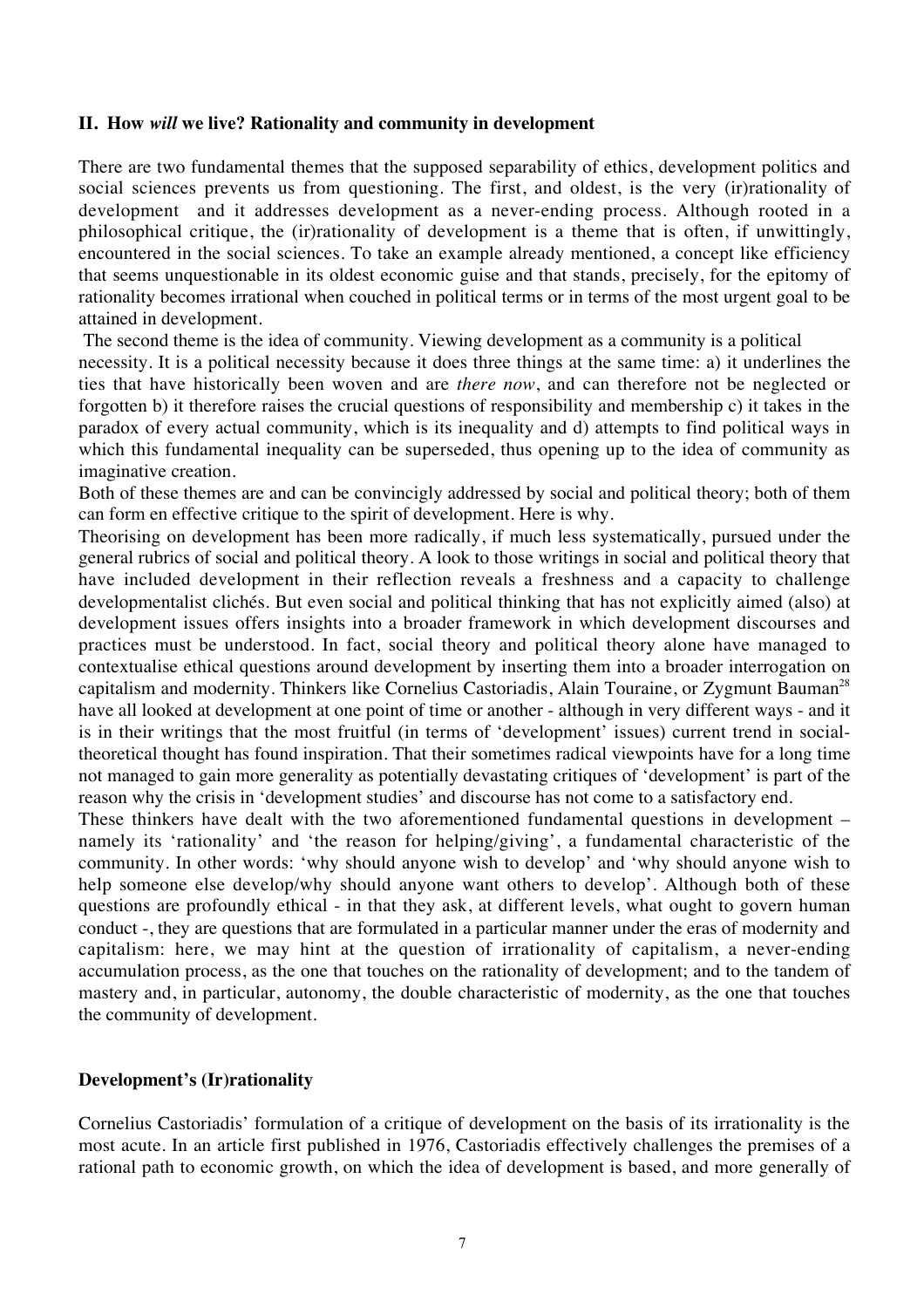## **II. How** *will* **we live? Rationality and community in development**

There are two fundamental themes that the supposed separability of ethics, development politics and social sciences prevents us from questioning. The first, and oldest, is the very (ir)rationality of development and it addresses development as a never-ending process. Although rooted in a philosophical critique, the (ir)rationality of development is a theme that is often, if unwittingly, encountered in the social sciences. To take an example already mentioned, a concept like efficiency that seems unquestionable in its oldest economic guise and that stands, precisely, for the epitomy of rationality becomes irrational when couched in political terms or in terms of the most urgent goal to be attained in development.

The second theme is the idea of community. Viewing development as a community is a political

necessity. It is a political necessity because it does three things at the same time: a) it underlines the ties that have historically been woven and are *there now*, and can therefore not be neglected or forgotten b) it therefore raises the crucial questions of responsibility and membership c) it takes in the paradox of every actual community, which is its inequality and d) attempts to find political ways in which this fundamental inequality can be superseded, thus opening up to the idea of community as imaginative creation.

Both of these themes are and can be convincigly addressed by social and political theory; both of them can form en effective critique to the spirit of development. Here is why.

Theorising on development has been more radically, if much less systematically, pursued under the general rubrics of social and political theory. A look to those writings in social and political theory that have included development in their reflection reveals a freshness and a capacity to challenge developmentalist clichés. But even social and political thinking that has not explicitly aimed (also) at development issues offers insights into a broader framework in which development discourses and practices must be understood*.* In fact, social theory and political theory alone have managed to contextualise ethical questions around development by inserting them into a broader interrogation on capitalism and modernity. Thinkers like Cornelius Castoriadis, Alain Touraine, or Zygmunt Bauman<sup>28</sup> have all looked at development at one point of time or another - although in very different ways - and it is in their writings that the most fruitful (in terms of 'development' issues) current trend in socialtheoretical thought has found inspiration. That their sometimes radical viewpoints have for a long time not managed to gain more generality as potentially devastating critiques of 'development' is part of the reason why the crisis in 'development studies' and discourse has not come to a satisfactory end.

These thinkers have dealt with the two aforementioned fundamental questions in development – namely its 'rationality' and 'the reason for helping/giving', a fundamental characteristic of the community. In other words: 'why should anyone wish to develop' and 'why should anyone wish to help someone else develop/why should anyone want others to develop'. Although both of these questions are profoundly ethical - in that they ask, at different levels, what ought to govern human conduct -, they are questions that are formulated in a particular manner under the eras of modernity and capitalism: here, we may hint at the question of irrationality of capitalism, a never-ending accumulation process, as the one that touches on the rationality of development; and to the tandem of mastery and, in particular, autonomy, the double characteristic of modernity, as the one that touches the community of development.

## **Development's (Ir)rationality**

Cornelius Castoriadis' formulation of a critique of development on the basis of its irrationality is the most acute. In an article first published in 1976, Castoriadis effectively challenges the premises of a rational path to economic growth, on which the idea of development is based, and more generally of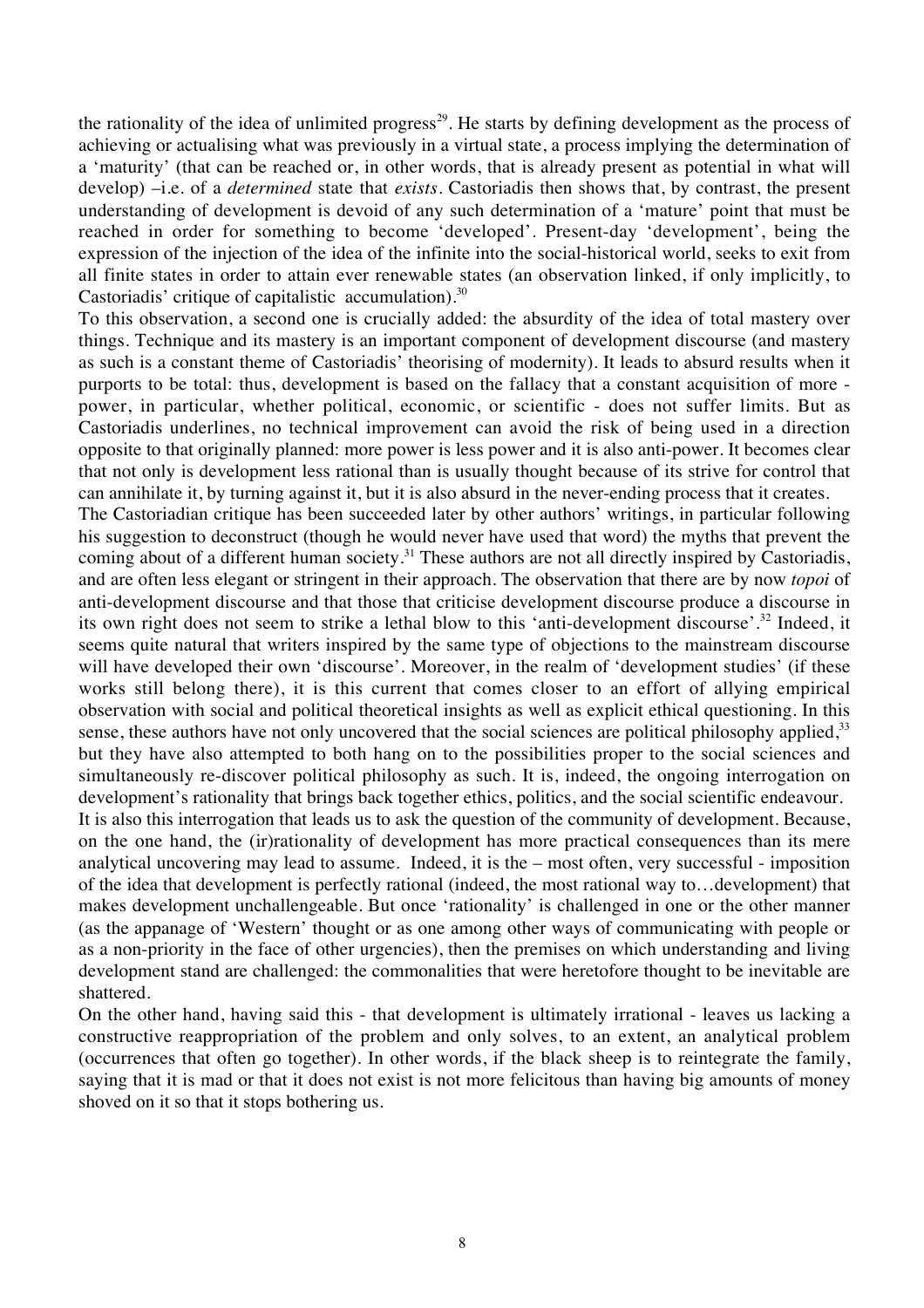the rationality of the idea of unlimited progress<sup>29</sup>. He starts by defining development as the process of achieving or actualising what was previously in a virtual state, a process implying the determination of a 'maturity' (that can be reached or, in other words, that is already present as potential in what will develop) –i.e. of a *determined* state that *exists*. Castoriadis then shows that, by contrast, the present understanding of development is devoid of any such determination of a 'mature' point that must be reached in order for something to become 'developed'. Present-day 'development', being the expression of the injection of the idea of the infinite into the social-historical world, seeks to exit from all finite states in order to attain ever renewable states (an observation linked, if only implicitly, to Castoriadis' critique of capitalistic accumulation). $30$ 

To this observation, a second one is crucially added: the absurdity of the idea of total mastery over things. Technique and its mastery is an important component of development discourse (and mastery as such is a constant theme of Castoriadis' theorising of modernity). It leads to absurd results when it purports to be total: thus, development is based on the fallacy that a constant acquisition of more power, in particular, whether political, economic, or scientific - does not suffer limits. But as Castoriadis underlines, no technical improvement can avoid the risk of being used in a direction opposite to that originally planned: more power is less power and it is also anti-power. It becomes clear that not only is development less rational than is usually thought because of its strive for control that can annihilate it, by turning against it, but it is also absurd in the never-ending process that it creates.

The Castoriadian critique has been succeeded later by other authors' writings, in particular following his suggestion to deconstruct (though he would never have used that word) the myths that prevent the coming about of a different human society.<sup>31</sup> These authors are not all directly inspired by Castoriadis, and are often less elegant or stringent in their approach. The observation that there are by now *topoi* of anti-development discourse and that those that criticise development discourse produce a discourse in its own right does not seem to strike a lethal blow to this 'anti-development discourse'.<sup>32</sup> Indeed, it seems quite natural that writers inspired by the same type of objections to the mainstream discourse will have developed their own 'discourse'. Moreover, in the realm of 'development studies' (if these works still belong there), it is this current that comes closer to an effort of allying empirical observation with social and political theoretical insights as well as explicit ethical questioning. In this sense, these authors have not only uncovered that the social sciences are political philosophy applied, $33$ but they have also attempted to both hang on to the possibilities proper to the social sciences and simultaneously re-discover political philosophy as such. It is, indeed, the ongoing interrogation on development's rationality that brings back together ethics, politics, and the social scientific endeavour.

It is also this interrogation that leads us to ask the question of the community of development. Because, on the one hand, the (ir)rationality of development has more practical consequences than its mere analytical uncovering may lead to assume. Indeed, it is the – most often, very successful - imposition of the idea that development is perfectly rational (indeed, the most rational way to…development) that makes development unchallengeable. But once 'rationality' is challenged in one or the other manner (as the appanage of 'Western' thought or as one among other ways of communicating with people or as a non-priority in the face of other urgencies), then the premises on which understanding and living development stand are challenged: the commonalities that were heretofore thought to be inevitable are shattered.

On the other hand, having said this - that development is ultimately irrational - leaves us lacking a constructive reappropriation of the problem and only solves, to an extent, an analytical problem (occurrences that often go together). In other words, if the black sheep is to reintegrate the family, saying that it is mad or that it does not exist is not more felicitous than having big amounts of money shoved on it so that it stops bothering us.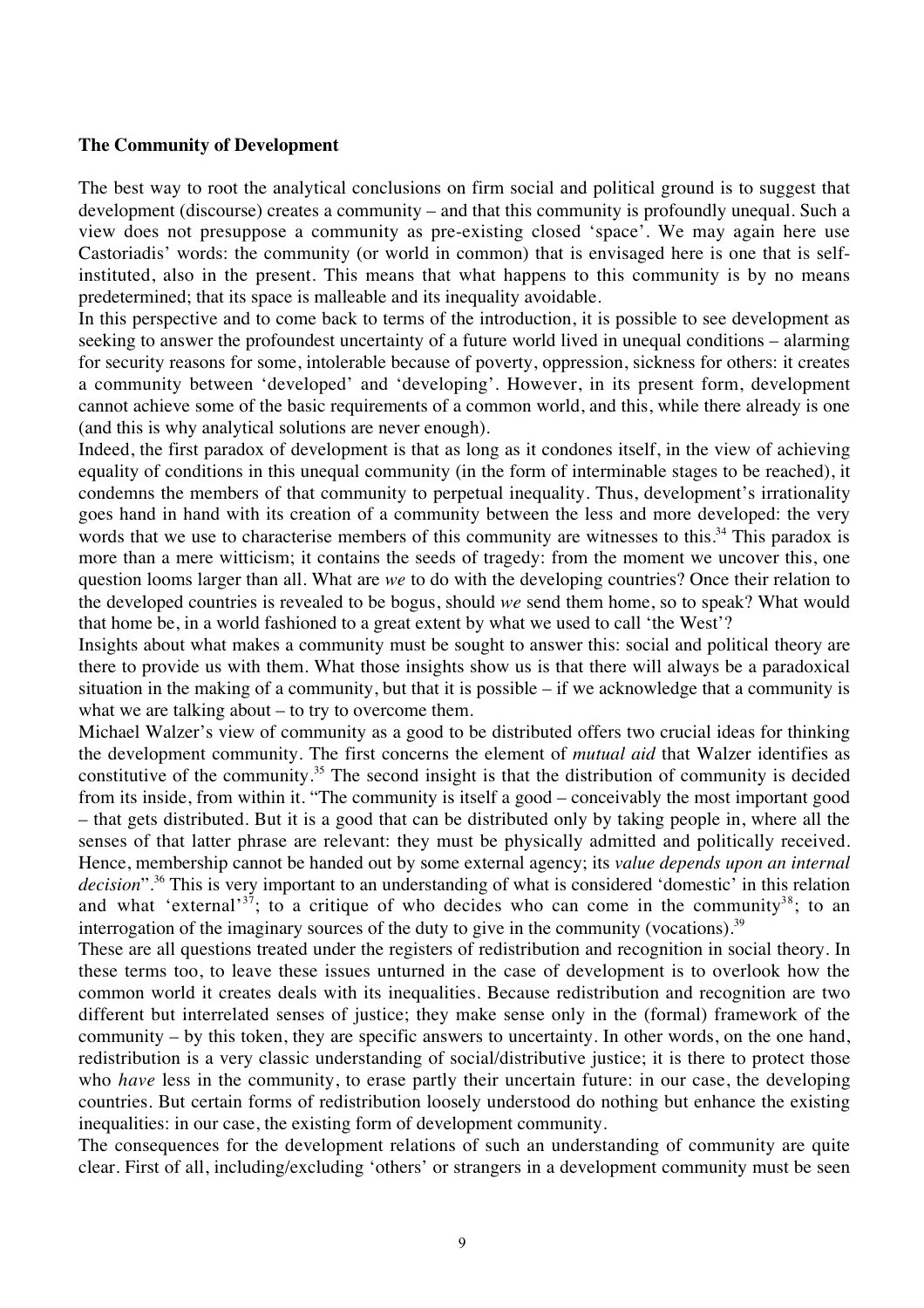## **The Community of Development**

The best way to root the analytical conclusions on firm social and political ground is to suggest that development (discourse) creates a community – and that this community is profoundly unequal. Such a view does not presuppose a community as pre-existing closed 'space'. We may again here use Castoriadis' words: the community (or world in common) that is envisaged here is one that is selfinstituted, also in the present. This means that what happens to this community is by no means predetermined; that its space is malleable and its inequality avoidable.

In this perspective and to come back to terms of the introduction, it is possible to see development as seeking to answer the profoundest uncertainty of a future world lived in unequal conditions – alarming for security reasons for some, intolerable because of poverty, oppression, sickness for others: it creates a community between 'developed' and 'developing'. However, in its present form, development cannot achieve some of the basic requirements of a common world, and this, while there already is one (and this is why analytical solutions are never enough).

Indeed, the first paradox of development is that as long as it condones itself, in the view of achieving equality of conditions in this unequal community (in the form of interminable stages to be reached), it condemns the members of that community to perpetual inequality. Thus, development's irrationality goes hand in hand with its creation of a community between the less and more developed: the very words that we use to characterise members of this community are witnesses to this.<sup>34</sup> This paradox is more than a mere witticism; it contains the seeds of tragedy: from the moment we uncover this, one question looms larger than all. What are *we* to do with the developing countries? Once their relation to the developed countries is revealed to be bogus, should *we* send them home, so to speak? What would that home be, in a world fashioned to a great extent by what we used to call 'the West'?

Insights about what makes a community must be sought to answer this: social and political theory are there to provide us with them. What those insights show us is that there will always be a paradoxical situation in the making of a community, but that it is possible – if we acknowledge that a community is what we are talking about – to try to overcome them.

Michael Walzer's view of community as a good to be distributed offers two crucial ideas for thinking the development community. The first concerns the element of *mutual aid* that Walzer identifies as constitutive of the community.35 The second insight is that the distribution of community is decided from its inside, from within it. "The community is itself a good – conceivably the most important good – that gets distributed. But it is a good that can be distributed only by taking people in, where all the senses of that latter phrase are relevant: they must be physically admitted and politically received. Hence, membership cannot be handed out by some external agency; its *value depends upon an internal* decision".<sup>36</sup> This is very important to an understanding of what is considered 'domestic' in this relation and what 'external'<sup>37</sup>; to a critique of who decides who can come in the community<sup>38</sup>; to an interrogation of the imaginary sources of the duty to give in the community (vocations).<sup>39</sup>

These are all questions treated under the registers of redistribution and recognition in social theory. In these terms too, to leave these issues unturned in the case of development is to overlook how the common world it creates deals with its inequalities. Because redistribution and recognition are two different but interrelated senses of justice; they make sense only in the (formal) framework of the community – by this token, they are specific answers to uncertainty. In other words, on the one hand, redistribution is a very classic understanding of social/distributive justice; it is there to protect those who *have* less in the community, to erase partly their uncertain future: in our case, the developing countries. But certain forms of redistribution loosely understood do nothing but enhance the existing inequalities: in our case, the existing form of development community.

The consequences for the development relations of such an understanding of community are quite clear. First of all, including/excluding 'others' or strangers in a development community must be seen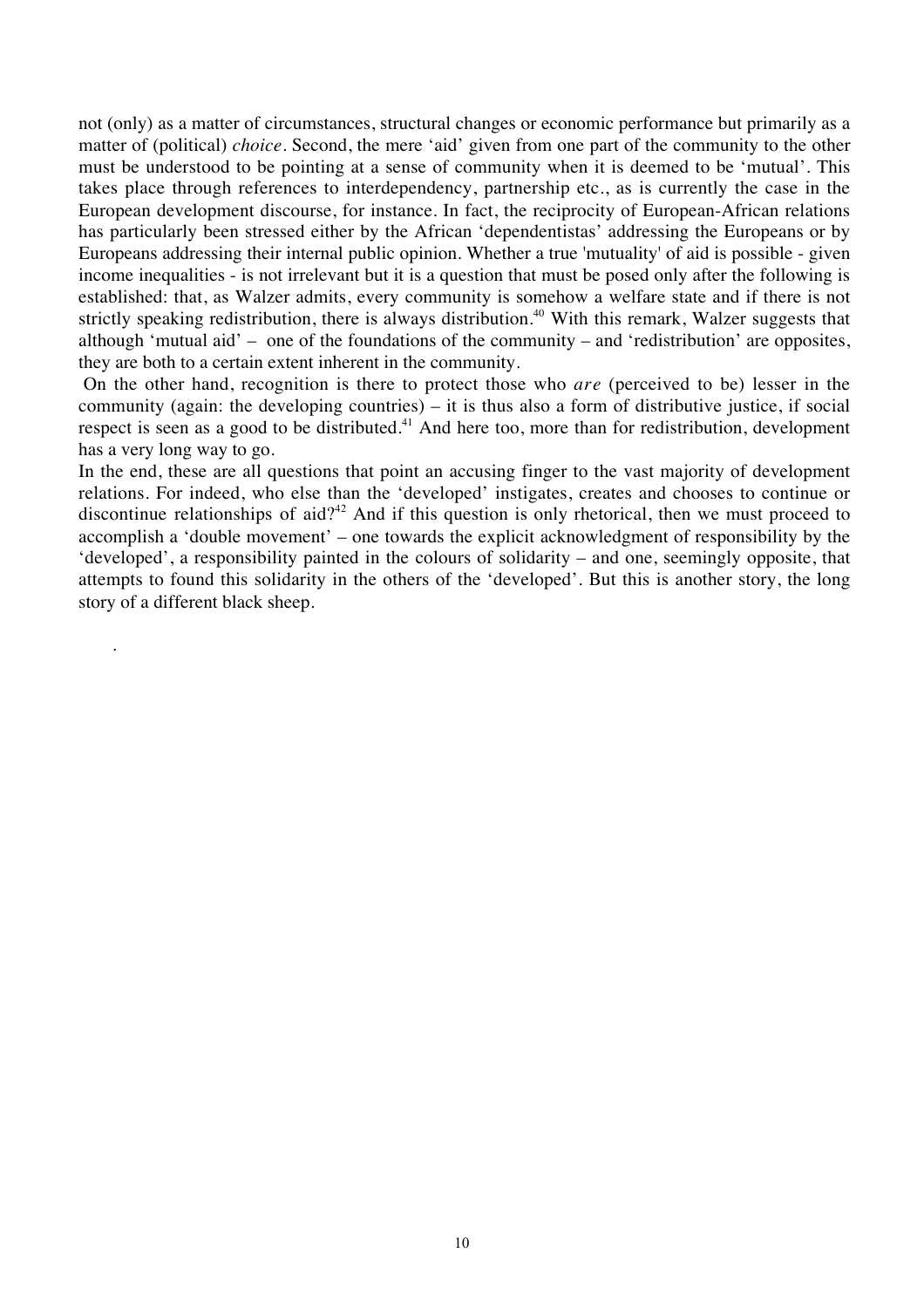not (only) as a matter of circumstances, structural changes or economic performance but primarily as a matter of (political) *choice*. Second, the mere 'aid' given from one part of the community to the other must be understood to be pointing at a sense of community when it is deemed to be 'mutual'. This takes place through references to interdependency, partnership etc., as is currently the case in the European development discourse, for instance. In fact, the reciprocity of European-African relations has particularly been stressed either by the African 'dependentistas' addressing the Europeans or by Europeans addressing their internal public opinion. Whether a true 'mutuality' of aid is possible - given income inequalities - is not irrelevant but it is a question that must be posed only after the following is established: that, as Walzer admits, every community is somehow a welfare state and if there is not strictly speaking redistribution, there is always distribution.<sup>40</sup> With this remark, Walzer suggests that although 'mutual aid' – one of the foundations of the community – and 'redistribution' are opposites, they are both to a certain extent inherent in the community.

 On the other hand, recognition is there to protect those who *are* (perceived to be) lesser in the community (again: the developing countries) – it is thus also a form of distributive justice, if social respect is seen as a good to be distributed.<sup>41</sup> And here too, more than for redistribution, development has a very long way to go.

In the end, these are all questions that point an accusing finger to the vast majority of development relations. For indeed, who else than the 'developed' instigates, creates and chooses to continue or discontinue relationships of aid?<sup>42</sup> And if this question is only rhetorical, then we must proceed to accomplish a 'double movement' – one towards the explicit acknowledgment of responsibility by the 'developed', a responsibility painted in the colours of solidarity – and one, seemingly opposite, that attempts to found this solidarity in the others of the 'developed'. But this is another story, the long story of a different black sheep.

.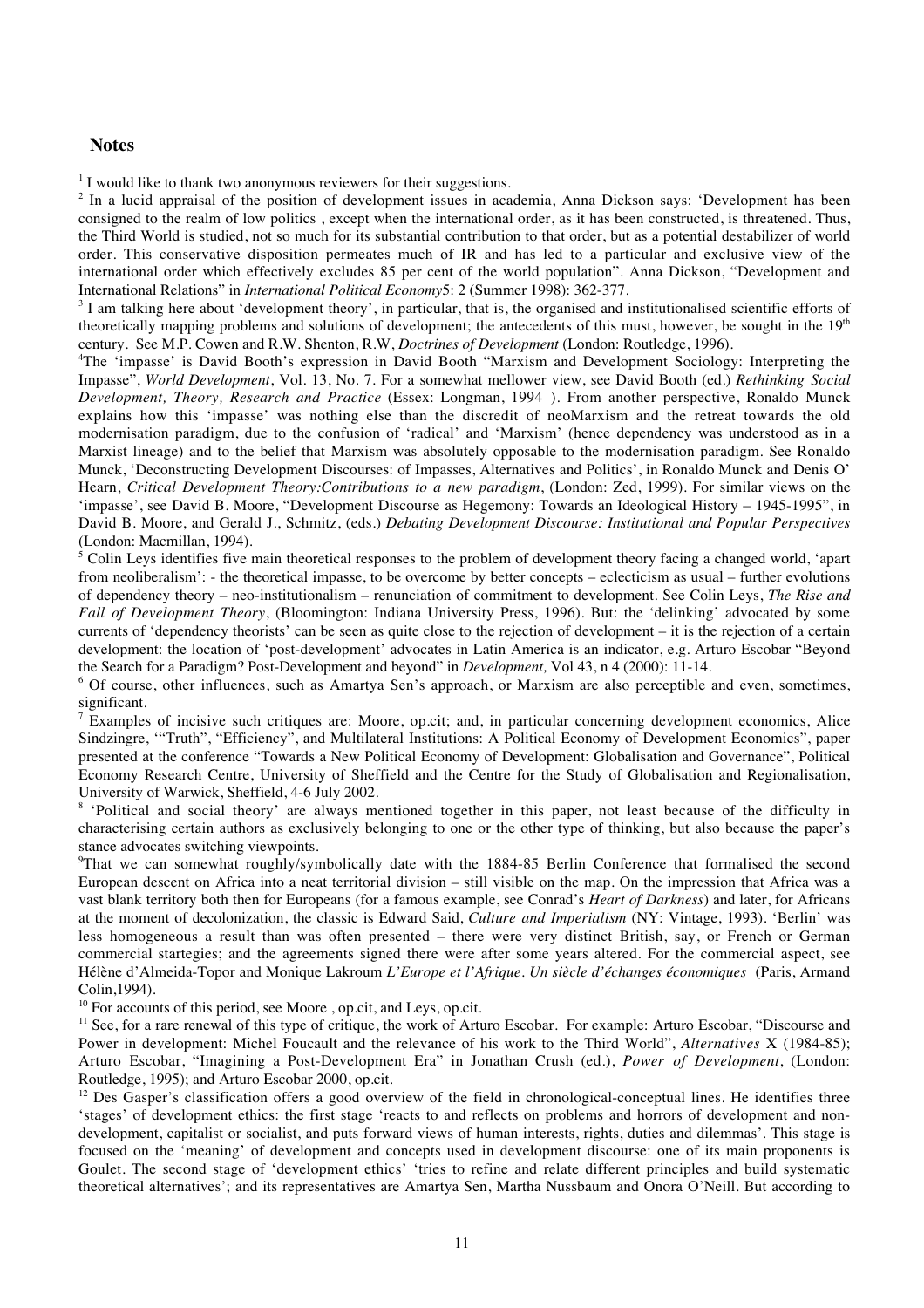#### **Notes**

<sup>1</sup> I would like to thank two anonymous reviewers for their suggestions.

<sup>2</sup> In a lucid appraisal of the position of development issues in academia, Anna Dickson says: 'Development has been consigned to the realm of low politics , except when the international order, as it has been constructed, is threatened. Thus, the Third World is studied, not so much for its substantial contribution to that order, but as a potential destabilizer of world order. This conservative disposition permeates much of IR and has led to a particular and exclusive view of the international order which effectively excludes 85 per cent of the world population". Anna Dickson, "Development and International Relations" in *International Political Economy*5: 2 (Summer 1998): 362-377.

<sup>3</sup> I am talking here about 'development theory', in particular, that is, the organised and institutionalised scientific efforts of theoretically mapping problems and solutions of development; the antecedents of this must, however, be sought in the  $19<sup>th</sup>$ century. See M.P. Cowen and R.W. Shenton, R.W, *Doctrines of Development* (London: Routledge, 1996).

4 The 'impasse' is David Booth's expression in David Booth "Marxism and Development Sociology: Interpreting the Impasse", *World Development*, Vol. 13, No. 7. For a somewhat mellower view, see David Booth (ed.) *Rethinking Social Development, Theory, Research and Practice* (Essex: Longman, 1994 ). From another perspective, Ronaldo Munck explains how this 'impasse' was nothing else than the discredit of neoMarxism and the retreat towards the old modernisation paradigm, due to the confusion of 'radical' and 'Marxism' (hence dependency was understood as in a Marxist lineage) and to the belief that Marxism was absolutely opposable to the modernisation paradigm. See Ronaldo Munck, 'Deconstructing Development Discourses: of Impasses, Alternatives and Politics', in Ronaldo Munck and Denis O' Hearn, *Critical Development Theory:Contributions to a new paradigm*, (London: Zed, 1999). For similar views on the 'impasse', see David B. Moore, "Development Discourse as Hegemony: Towards an Ideological History – 1945-1995", in David B. Moore, and Gerald J., Schmitz, (eds.) *Debating Development Discourse: Institutional and Popular Perspectives* (London: Macmillan, 1994).

<sup>5</sup> Colin Leys identifies five main theoretical responses to the problem of development theory facing a changed world, 'apart from neoliberalism': - the theoretical impasse, to be overcome by better concepts – eclecticism as usual – further evolutions of dependency theory – neo-institutionalism – renunciation of commitment to development. See Colin Leys, *The Rise and Fall of Development Theory*, (Bloomington: Indiana University Press, 1996). But: the 'delinking' advocated by some currents of 'dependency theorists' can be seen as quite close to the rejection of development – it is the rejection of a certain development: the location of 'post-development' advocates in Latin America is an indicator, e.g. Arturo Escobar "Beyond the Search for a Paradigm? Post-Development and beyond" in *Development,* Vol 43, n 4 (2000): 11-14.

<sup>6</sup> Of course, other influences, such as Amartya Sen's approach, or Marxism are also perceptible and even, sometimes, significant.

<sup>7</sup> Examples of incisive such critiques are: Moore, op.cit; and, in particular concerning development economics, Alice Sindzingre, '"Truth", "Efficiency", and Multilateral Institutions: A Political Economy of Development Economics", paper presented at the conference "Towards a New Political Economy of Development: Globalisation and Governance", Political Economy Research Centre, University of Sheffield and the Centre for the Study of Globalisation and Regionalisation, University of Warwick, Sheffield, 4-6 July 2002.

<sup>8</sup> 'Political and social theory' are always mentioned together in this paper, not least because of the difficulty in characterising certain authors as exclusively belonging to one or the other type of thinking, but also because the paper's stance advocates switching viewpoints.

<sup>9</sup>That we can somewhat roughly/symbolically date with the 1884-85 Berlin Conference that formalised the second European descent on Africa into a neat territorial division – still visible on the map. On the impression that Africa was a vast blank territory both then for Europeans (for a famous example, see Conrad's *Heart of Darkness*) and later, for Africans at the moment of decolonization, the classic is Edward Said, *Culture and Imperialism* (NY: Vintage, 1993). 'Berlin' was less homogeneous a result than was often presented – there were very distinct British, say, or French or German commercial startegies; and the agreements signed there were after some years altered. For the commercial aspect, see Hélène d'Almeida-Topor and Monique Lakroum *L'Europe et l'Afrique. Un siècle d'échanges économiques* (Paris, Armand Colin,1994).

 $10$  For accounts of this period, see Moore, op.cit, and Leys, op.cit.

<sup>11</sup> See, for a rare renewal of this type of critique, the work of Arturo Escobar. For example: Arturo Escobar, "Discourse and Power in development: Michel Foucault and the relevance of his work to the Third World", *Alternatives* X (1984-85); Arturo Escobar, "Imagining a Post-Development Era" in Jonathan Crush (ed.), *Power of Development*, (London: Routledge, 1995); and Arturo Escobar 2000, op.cit.

<sup>12</sup> Des Gasper's classification offers a good overview of the field in chronological-conceptual lines. He identifies three 'stages' of development ethics: the first stage 'reacts to and reflects on problems and horrors of development and nondevelopment, capitalist or socialist, and puts forward views of human interests, rights, duties and dilemmas'. This stage is focused on the 'meaning' of development and concepts used in development discourse: one of its main proponents is Goulet. The second stage of 'development ethics' 'tries to refine and relate different principles and build systematic theoretical alternatives'; and its representatives are Amartya Sen, Martha Nussbaum and Onora O'Neill. But according to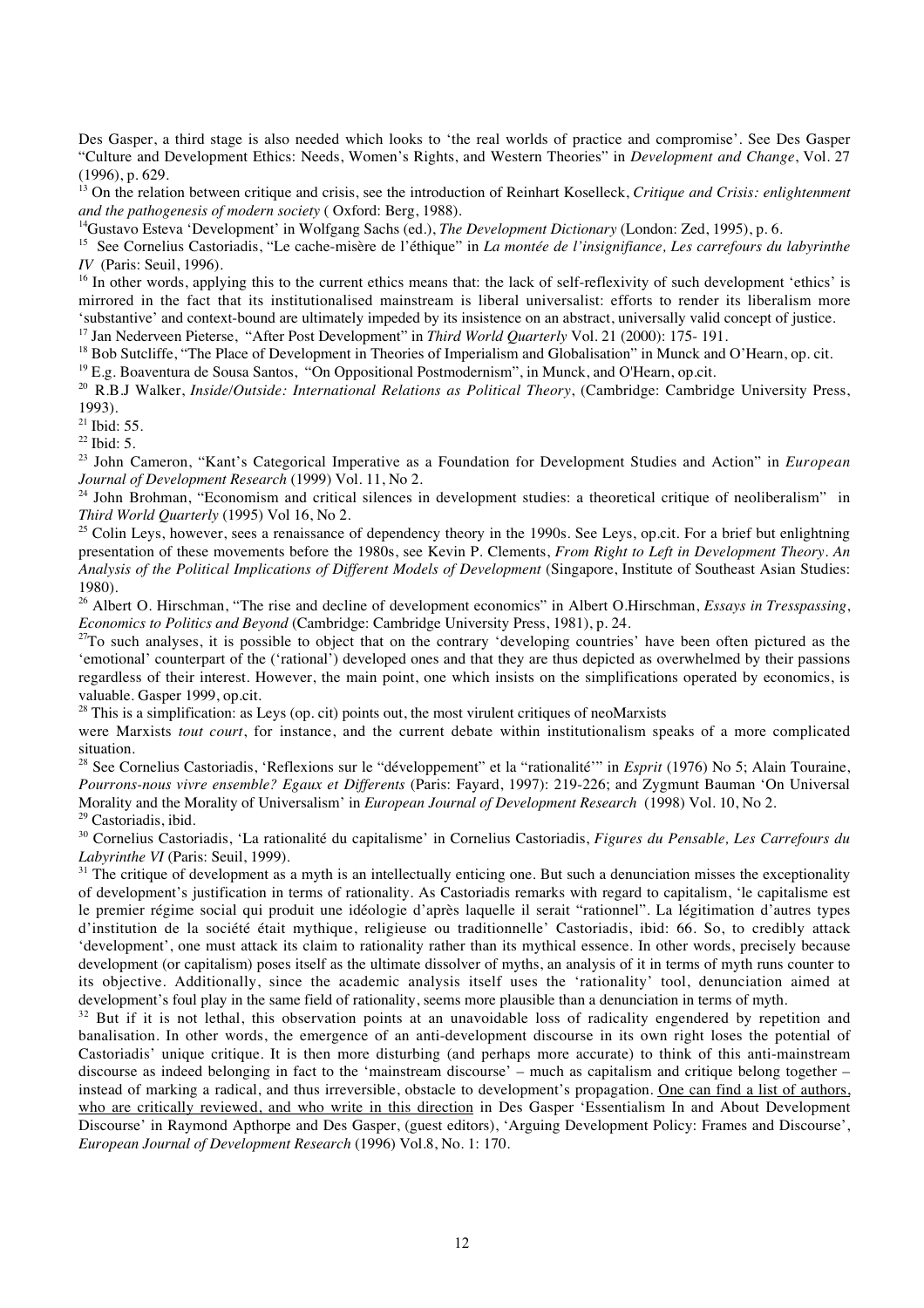Des Gasper, a third stage is also needed which looks to 'the real worlds of practice and compromise'. See Des Gasper "Culture and Development Ethics: Needs, Women's Rights, and Western Theories" in *Development and Change*, Vol. 27 (1996), p. 629.

<sup>13</sup> On the relation between critique and crisis, see the introduction of Reinhart Koselleck, *Critique and Crisis: enlightenment and the pathogenesis of modern society* ( Oxford: Berg, 1988).

<sup>14</sup>Gustavo Esteva 'Development' in Wolfgang Sachs (ed.), *The Development Dictionary* (London: Zed, 1995), p. 6.

<sup>15</sup> See Cornelius Castoriadis, "Le cache-misère de l'éthique" in *La montée de l'insignifiance*, *Les carrefours du labyrinthe IV* (Paris: Seuil, 1996).

<sup>16</sup> In other words, applying this to the current ethics means that: the lack of self-reflexivity of such development 'ethics' is mirrored in the fact that its institutionalised mainstream is liberal universalist: efforts to render its liberalism more 'substantive' and context-bound are ultimately impeded by its insistence on an abstract, universally valid concept of justice.

<sup>17</sup> Jan Nederveen Pieterse, "After Post Development" in *Third World Quarterly* Vol. 21 (2000): 175- 191.

<sup>18</sup> Bob Sutcliffe, "The Place of Development in Theories of Imperialism and Globalisation" in Munck and O'Hearn, op. cit.

<sup>19</sup> E.g. Boaventura de Sousa Santos, "On Oppositional Postmodernism", in Munck, and O'Hearn, op.cit.

<sup>20</sup> R.B.J Walker, *Inside/Outside: International Relations as Political Theory*, (Cambridge: Cambridge University Press, 1993).

 $21$  Ibid: 55.

 $^{22}$  Ibid: 5.

<sup>23</sup> John Cameron, "Kant's Categorical Imperative as a Foundation for Development Studies and Action" in *European Journal of Development Research* (1999) Vol. 11, No 2.

<sup>24</sup> John Brohman, "Economism and critical silences in development studies: a theoretical critique of neoliberalism" in *Third World Quarterly* (1995) Vol 16, No 2.

<sup>25</sup> Colin Leys, however, sees a renaissance of dependency theory in the 1990s. See Leys, op.cit. For a brief but enlightning presentation of these movements before the 1980s, see Kevin P. Clements, *From Right to Left in Development Theory. An Analysis of the Political Implications of Different Models of Development* (Singapore, Institute of Southeast Asian Studies: 1980).

<sup>26</sup> Albert O. Hirschman, "The rise and decline of development economics" in Albert O.Hirschman, *Essays in Tresspassing*, *Economics to Politics and Beyond* (Cambridge: Cambridge University Press, 1981), p. 24.

 $^{27}$ To such analyses, it is possible to object that on the contrary 'developing countries' have been often pictured as the 'emotional' counterpart of the ('rational') developed ones and that they are thus depicted as overwhelmed by their passions regardless of their interest. However, the main point, one which insists on the simplifications operated by economics, is valuable. Gasper 1999, op.cit.

 $^{28}$  This is a simplification: as Leys (op. cit) points out, the most virulent critiques of neoMarxists

were Marxists *tout court*, for instance, and the current debate within institutionalism speaks of a more complicated situation.

<sup>28</sup> See Cornelius Castoriadis, 'Reflexions sur le "développement" et la "rationalité'" in *Esprit* (1976) No 5; Alain Touraine, *Pourrons-nous vivre ensemble? Egaux et Differents* (Paris: Fayard, 1997): 219-226; and Zygmunt Bauman 'On Universal Morality and the Morality of Universalism' in *European Journal of Development Research* (1998) Vol. 10, No 2.

29 Castoriadis, ibid.

<sup>30</sup> Cornelius Castoriadis, 'La rationalité du capitalisme' in Cornelius Castoriadis, *Figures du Pensable, Les Carrefours du Labyrinthe VI* (Paris: Seuil, 1999).

 $31$  The critique of development as a myth is an intellectually enticing one. But such a denunciation misses the exceptionality of development's justification in terms of rationality. As Castoriadis remarks with regard to capitalism, 'le capitalisme est le premier régime social qui produit une idéologie d'après laquelle il serait "rationnel". La légitimation d'autres types d'institution de la société était mythique, religieuse ou traditionnelle' Castoriadis, ibid: 66. So, to credibly attack 'development', one must attack its claim to rationality rather than its mythical essence. In other words, precisely because development (or capitalism) poses itself as the ultimate dissolver of myths, an analysis of it in terms of myth runs counter to its objective. Additionally, since the academic analysis itself uses the 'rationality' tool, denunciation aimed at development's foul play in the same field of rationality, seems more plausible than a denunciation in terms of myth.

<sup>32</sup> But if it is not lethal, this observation points at an unavoidable loss of radicality engendered by repetition and banalisation. In other words, the emergence of an anti-development discourse in its own right loses the potential of Castoriadis' unique critique. It is then more disturbing (and perhaps more accurate) to think of this anti-mainstream discourse as indeed belonging in fact to the 'mainstream discourse' – much as capitalism and critique belong together – instead of marking a radical, and thus irreversible, obstacle to development's propagation. One can find a list of authors, who are critically reviewed, and who write in this direction in Des Gasper 'Essentialism In and About Development Discourse' in Raymond Apthorpe and Des Gasper, (guest editors), 'Arguing Development Policy: Frames and Discourse', *European Journal of Development Research* (1996) Vol.8, No. 1: 170.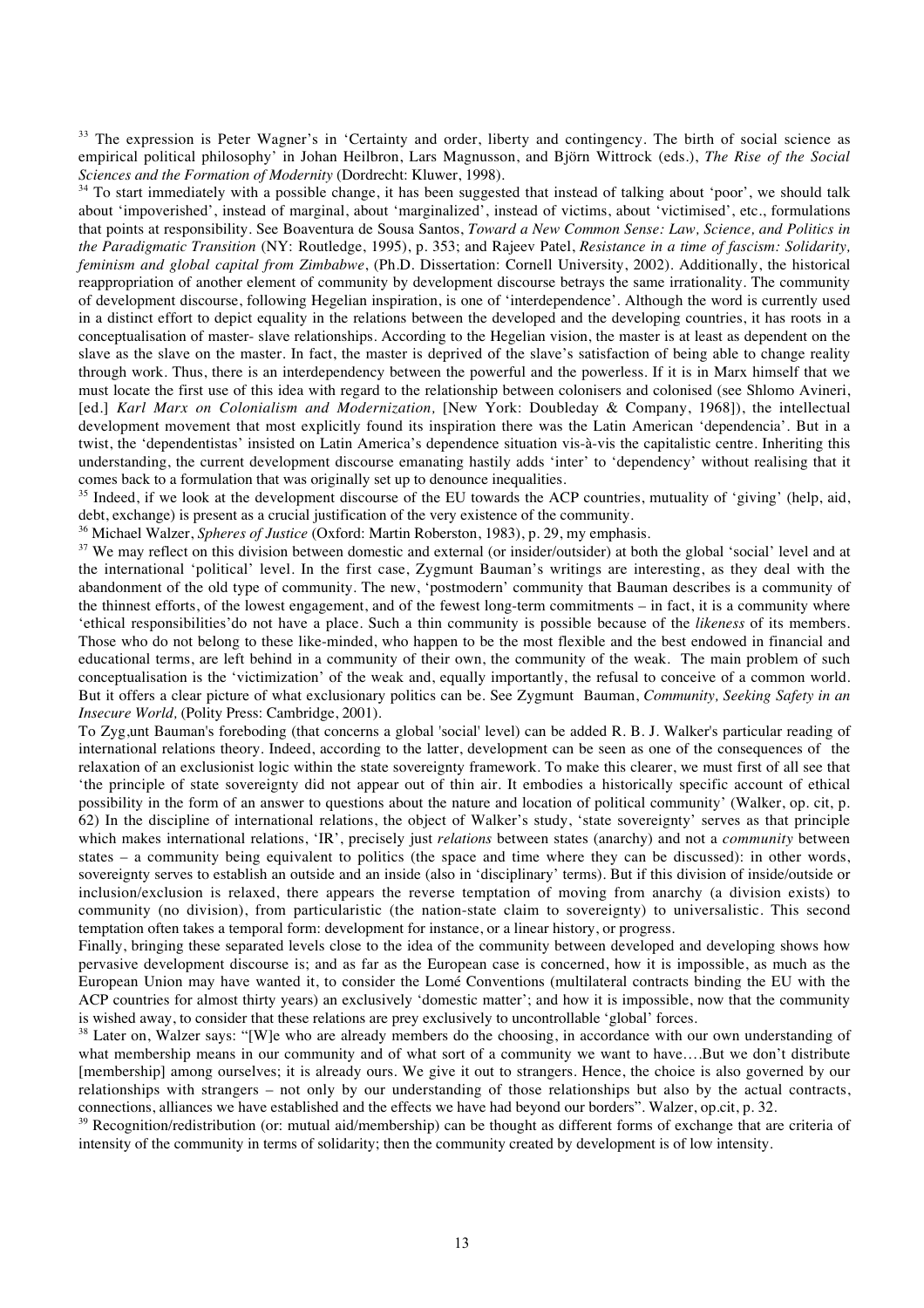<sup>33</sup> The expression is Peter Wagner's in 'Certainty and order, liberty and contingency. The birth of social science as empirical political philosophy' in Johan Heilbron, Lars Magnusson, and Björn Wittrock (eds.), *The Rise of the Social Sciences and the Formation of Modernity* (Dordrecht: Kluwer, 1998).

<sup>34</sup> To start immediately with a possible change, it has been suggested that instead of talking about 'poor', we should talk about 'impoverished', instead of marginal, about 'marginalized', instead of victims, about 'victimised', etc., formulations that points at responsibility. See Boaventura de Sousa Santos, *Toward a New Common Sense: Law, Science, and Politics in the Paradigmatic Transition* (NY: Routledge, 1995), p. 353; and Rajeev Patel, *Resistance in a time of fascism: Solidarity, feminism and global capital from Zimbabwe*, (Ph.D. Dissertation: Cornell University, 2002). Additionally, the historical reappropriation of another element of community by development discourse betrays the same irrationality. The community of development discourse, following Hegelian inspiration, is one of 'interdependence'. Although the word is currently used in a distinct effort to depict equality in the relations between the developed and the developing countries, it has roots in a conceptualisation of master- slave relationships. According to the Hegelian vision, the master is at least as dependent on the slave as the slave on the master. In fact, the master is deprived of the slave's satisfaction of being able to change reality through work. Thus, there is an interdependency between the powerful and the powerless. If it is in Marx himself that we must locate the first use of this idea with regard to the relationship between colonisers and colonised (see Shlomo Avineri, [ed.] *Karl Marx on Colonialism and Modernization,* [New York: Doubleday & Company, 1968]), the intellectual development movement that most explicitly found its inspiration there was the Latin American 'dependencia'. But in a twist, the 'dependentistas' insisted on Latin America's dependence situation vis-à-vis the capitalistic centre. Inheriting this understanding, the current development discourse emanating hastily adds 'inter' to 'dependency' without realising that it comes back to a formulation that was originally set up to denounce inequalities.

<sup>35</sup> Indeed, if we look at the development discourse of the EU towards the ACP countries, mutuality of 'giving' (help, aid, debt, exchange) is present as a crucial justification of the very existence of the community.

36 Michael Walzer, *Spheres of Justice* (Oxford: Martin Roberston, 1983), p. 29, my emphasis.

<sup>37</sup> We may reflect on this division between domestic and external (or insider/outsider) at both the global 'social' level and at the international 'political' level. In the first case, Zygmunt Bauman's writings are interesting, as they deal with the abandonment of the old type of community. The new, 'postmodern' community that Bauman describes is a community of the thinnest efforts, of the lowest engagement, and of the fewest long-term commitments – in fact, it is a community where 'ethical responsibilities'do not have a place. Such a thin community is possible because of the *likeness* of its members. Those who do not belong to these like-minded, who happen to be the most flexible and the best endowed in financial and educational terms, are left behind in a community of their own, the community of the weak. The main problem of such conceptualisation is the 'victimization' of the weak and, equally importantly, the refusal to conceive of a common world. But it offers a clear picture of what exclusionary politics can be. See Zygmunt Bauman, *Community, Seeking Safety in an Insecure World,* (Polity Press: Cambridge, 2001).

To Zyg,unt Bauman's foreboding (that concerns a global 'social' level) can be added R. B. J. Walker's particular reading of international relations theory. Indeed, according to the latter, development can be seen as one of the consequences of the relaxation of an exclusionist logic within the state sovereignty framework. To make this clearer, we must first of all see that 'the principle of state sovereignty did not appear out of thin air. It embodies a historically specific account of ethical possibility in the form of an answer to questions about the nature and location of political community' (Walker, op. cit, p. 62) In the discipline of international relations, the object of Walker's study, 'state sovereignty' serves as that principle which makes international relations, 'IR', precisely just *relations* between states (anarchy) and not a *community* between states – a community being equivalent to politics (the space and time where they can be discussed): in other words, sovereignty serves to establish an outside and an inside (also in 'disciplinary' terms). But if this division of inside/outside or inclusion/exclusion is relaxed, there appears the reverse temptation of moving from anarchy (a division exists) to community (no division), from particularistic (the nation-state claim to sovereignty) to universalistic. This second temptation often takes a temporal form: development for instance, or a linear history, or progress.

Finally, bringing these separated levels close to the idea of the community between developed and developing shows how pervasive development discourse is; and as far as the European case is concerned, how it is impossible, as much as the European Union may have wanted it, to consider the Lomé Conventions (multilateral contracts binding the EU with the ACP countries for almost thirty years) an exclusively 'domestic matter'; and how it is impossible, now that the community is wished away, to consider that these relations are prey exclusively to uncontrollable 'global' forces.

<sup>38</sup> Later on, Walzer says: "[W]e who are already members do the choosing, in accordance with our own understanding of what membership means in our community and of what sort of a community we want to have....But we don't distribute [membership] among ourselves; it is already ours. We give it out to strangers. Hence, the choice is also governed by our relationships with strangers – not only by our understanding of those relationships but also by the actual contracts, connections, alliances we have established and the effects we have had beyond our borders". Walzer, op.cit, p. 32.

<sup>39</sup> Recognition/redistribution (or: mutual aid/membership) can be thought as different forms of exchange that are criteria of intensity of the community in terms of solidarity; then the community created by development is of low intensity.